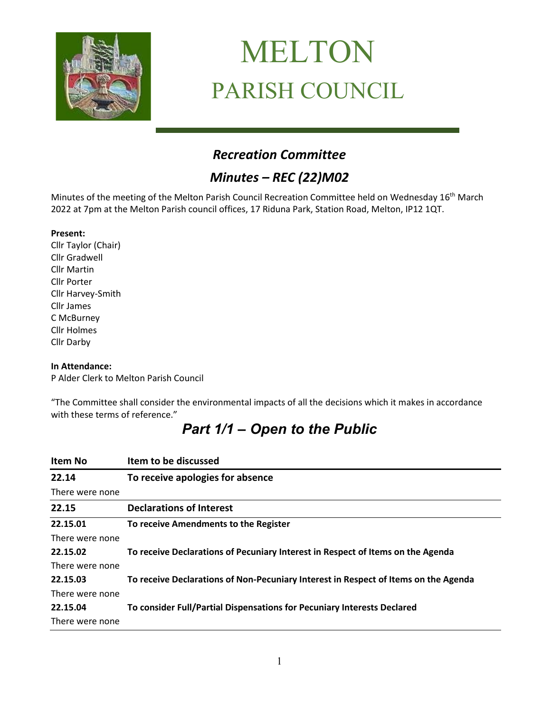

# MELTON PARISH COUNCIL

# *Recreation Committee*

# *Minutes – REC (22)M02*

Minutes of the meeting of the Melton Parish Council Recreation Committee held on Wednesday 16<sup>th</sup> March 2022 at 7pm at the Melton Parish council offices, 17 Riduna Park, Station Road, Melton, IP12 1QT.

#### **Present:**

Cllr Taylor (Chair) Cllr Gradwell Cllr Martin Cllr Porter Cllr Harvey-Smith Cllr James C McBurney Cllr Holmes Cllr Darby

#### **In Attendance:**

P Alder Clerk to Melton Parish Council

"The Committee shall consider the environmental impacts of all the decisions which it makes in accordance with these terms of reference."

# *Part 1/1 – Open to the Public*

| Item No         | Item to be discussed                                                                |
|-----------------|-------------------------------------------------------------------------------------|
| 22.14           | To receive apologies for absence                                                    |
| There were none |                                                                                     |
| 22.15           | <b>Declarations of Interest</b>                                                     |
| 22.15.01        | To receive Amendments to the Register                                               |
| There were none |                                                                                     |
| 22.15.02        | To receive Declarations of Pecuniary Interest in Respect of Items on the Agenda     |
| There were none |                                                                                     |
| 22.15.03        | To receive Declarations of Non-Pecuniary Interest in Respect of Items on the Agenda |
| There were none |                                                                                     |
| 22.15.04        | To consider Full/Partial Dispensations for Pecuniary Interests Declared             |
| There were none |                                                                                     |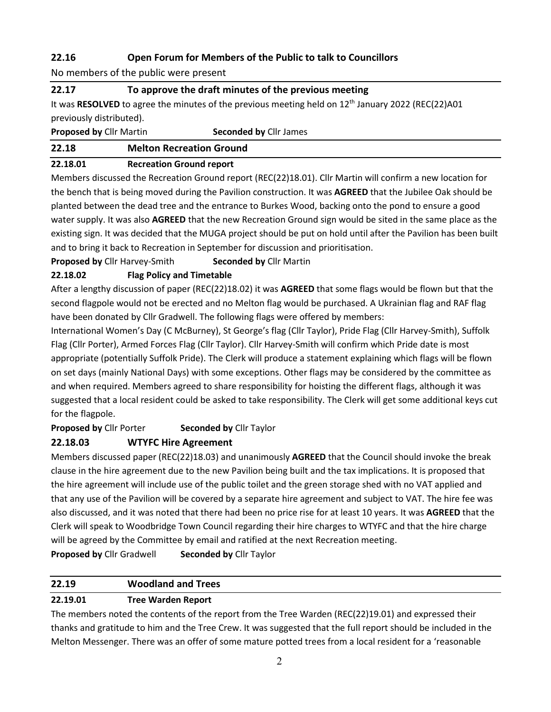## **22.16 Open Forum for Members of the Public to talk to Councillors**

No members of the public were present

#### **22.17 To approve the draft minutes of the previous meeting**

It was RESOLVED to agree the minutes of the previous meeting held on 12<sup>th</sup> January 2022 (REC(22)A01 previously distributed).

**Proposed by** Cllr Martin **Seconded by** Cllr James

#### **22.18 Melton Recreation Ground**

#### **22.18.01 Recreation Ground report**

Members discussed the Recreation Ground report (REC(22)18.01). Cllr Martin will confirm a new location for the bench that is being moved during the Pavilion construction. It was **AGREED** that the Jubilee Oak should be planted between the dead tree and the entrance to Burkes Wood, backing onto the pond to ensure a good water supply. It was also **AGREED** that the new Recreation Ground sign would be sited in the same place as the existing sign. It was decided that the MUGA project should be put on hold until after the Pavilion has been built and to bring it back to Recreation in September for discussion and prioritisation.

#### **Proposed by** Cllr Harvey-Smith **Seconded by** Cllr Martin

### **22.18.02 Flag Policy and Timetable**

After a lengthy discussion of paper (REC(22)18.02) it was **AGREED** that some flags would be flown but that the second flagpole would not be erected and no Melton flag would be purchased. A Ukrainian flag and RAF flag have been donated by Cllr Gradwell. The following flags were offered by members:

International Women's Day (C McBurney), St George's flag (Cllr Taylor), Pride Flag (Cllr Harvey-Smith), Suffolk Flag (Cllr Porter), Armed Forces Flag (Cllr Taylor). Cllr Harvey-Smith will confirm which Pride date is most appropriate (potentially Suffolk Pride). The Clerk will produce a statement explaining which flags will be flown on set days (mainly National Days) with some exceptions. Other flags may be considered by the committee as and when required. Members agreed to share responsibility for hoisting the different flags, although it was suggested that a local resident could be asked to take responsibility. The Clerk will get some additional keys cut for the flagpole.

**Proposed by** Cllr Porter **Seconded by** Cllr Taylor

## **22.18.03 WTYFC Hire Agreement**

Members discussed paper (REC(22)18.03) and unanimously **AGREED** that the Council should invoke the break clause in the hire agreement due to the new Pavilion being built and the tax implications. It is proposed that the hire agreement will include use of the public toilet and the green storage shed with no VAT applied and that any use of the Pavilion will be covered by a separate hire agreement and subject to VAT. The hire fee was also discussed, and it was noted that there had been no price rise for at least 10 years. It was **AGREED** that the Clerk will speak to Woodbridge Town Council regarding their hire charges to WTYFC and that the hire charge will be agreed by the Committee by email and ratified at the next Recreation meeting.

**Proposed by** Cllr Gradwell **Seconded by** Cllr Taylor

## **22.19 Woodland and Trees**

## **22.19.01 Tree Warden Report**

The members noted the contents of the report from the Tree Warden (REC(22)19.01) and expressed their thanks and gratitude to him and the Tree Crew. It was suggested that the full report should be included in the Melton Messenger. There was an offer of some mature potted trees from a local resident for a 'reasonable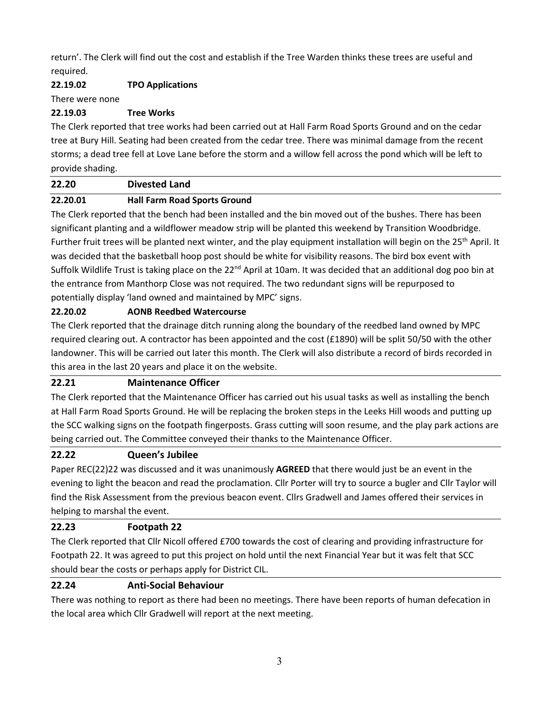return'. The Clerk will find out the cost and establish if the Tree Warden thinks these trees are useful and required.

### **22.19.02 TPO Applications**

There were none

#### **22.19.03 Tree Works**

The Clerk reported that tree works had been carried out at Hall Farm Road Sports Ground and on the cedar tree at Bury Hill. Seating had been created from the cedar tree. There was minimal damage from the recent storms; a dead tree fell at Love Lane before the storm and a willow fell across the pond which will be left to provide shading.

#### **22.20 Divested Land**

#### **22.20.01 Hall Farm Road Sports Ground**

The Clerk reported that the bench had been installed and the bin moved out of the bushes. There has been significant planting and a wildflower meadow strip will be planted this weekend by Transition Woodbridge. Further fruit trees will be planted next winter, and the play equipment installation will begin on the 25<sup>th</sup> April. It was decided that the basketball hoop post should be white for visibility reasons. The bird box event with Suffolk Wildlife Trust is taking place on the  $22^{nd}$  April at 10am. It was decided that an additional dog poo bin at the entrance from Manthorp Close was not required. The two redundant signs will be repurposed to potentially display 'land owned and maintained by MPC' signs.

#### **22.20.02 AONB Reedbed Watercourse**

The Clerk reported that the drainage ditch running along the boundary of the reedbed land owned by MPC required clearing out. A contractor has been appointed and the cost (£1890) will be split 50/50 with the other landowner. This will be carried out later this month. The Clerk will also distribute a record of birds recorded in this area in the last 20 years and place it on the website.

#### **22.21 Maintenance Officer**

The Clerk reported that the Maintenance Officer has carried out his usual tasks as well as installing the bench at Hall Farm Road Sports Ground. He will be replacing the broken steps in the Leeks Hill woods and putting up the SCC walking signs on the footpath fingerposts. Grass cutting will soon resume, and the play park actions are being carried out. The Committee conveyed their thanks to the Maintenance Officer.

#### **22.22 Queen's Jubilee**

Paper REC(22)22 was discussed and it was unanimously **AGREED** that there would just be an event in the evening to light the beacon and read the proclamation. Cllr Porter will try to source a bugler and Cllr Taylor will find the Risk Assessment from the previous beacon event. Cllrs Gradwell and James offered their services in helping to marshal the event.

#### **22.23 Footpath 22**

The Clerk reported that Cllr Nicoll offered £700 towards the cost of clearing and providing infrastructure for Footpath 22. It was agreed to put this project on hold until the next Financial Year but it was felt that SCC should bear the costs or perhaps apply for District CIL.

#### **22.24 Anti-Social Behaviour**

There was nothing to report as there had been no meetings. There have been reports of human defecation in the local area which Cllr Gradwell will report at the next meeting.